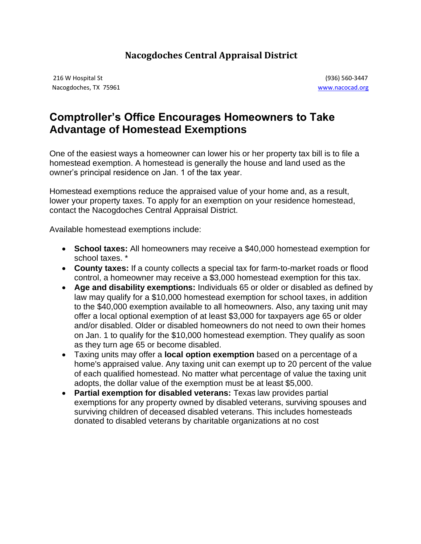## **Nacogdoches Central Appraisal District**

216 W Hospital St (936) 560-3447 Nacogdoches, TX 75961 [www.nacocad.org](http://www.nacocad.org/)

## **Comptroller's Office Encourages Homeowners to Take Advantage of Homestead Exemptions**

One of the easiest ways a homeowner can lower his or her property tax bill is to file a homestead exemption. A homestead is generally the house and land used as the owner's principal residence on Jan. 1 of the tax year.

Homestead exemptions reduce the appraised value of your home and, as a result, lower your property taxes. To apply for an exemption on your residence homestead, contact the Nacogdoches Central Appraisal District.

Available homestead exemptions include:

- **School taxes:** All homeowners may receive a \$40,000 homestead exemption for school taxes. \*
- **County taxes:** If a county collects a special tax for farm-to-market roads or flood control, a homeowner may receive a \$3,000 homestead exemption for this tax.
- **Age and disability exemptions:** Individuals 65 or older or disabled as defined by law may qualify for a \$10,000 homestead exemption for school taxes, in addition to the \$40,000 exemption available to all homeowners. Also, any taxing unit may offer a local optional exemption of at least \$3,000 for taxpayers age 65 or older and/or disabled. Older or disabled homeowners do not need to own their homes on Jan. 1 to qualify for the \$10,000 homestead exemption. They qualify as soon as they turn age 65 or become disabled.
- Taxing units may offer a **local option exemption** based on a percentage of a home's appraised value. Any taxing unit can exempt up to 20 percent of the value of each qualified homestead. No matter what percentage of value the taxing unit adopts, the dollar value of the exemption must be at least \$5,000.
- **Partial exemption for disabled veterans:** Texas law provides partial exemptions for any property owned by disabled veterans, surviving spouses and surviving children of deceased disabled veterans. This includes homesteads donated to disabled veterans by charitable organizations at no cost